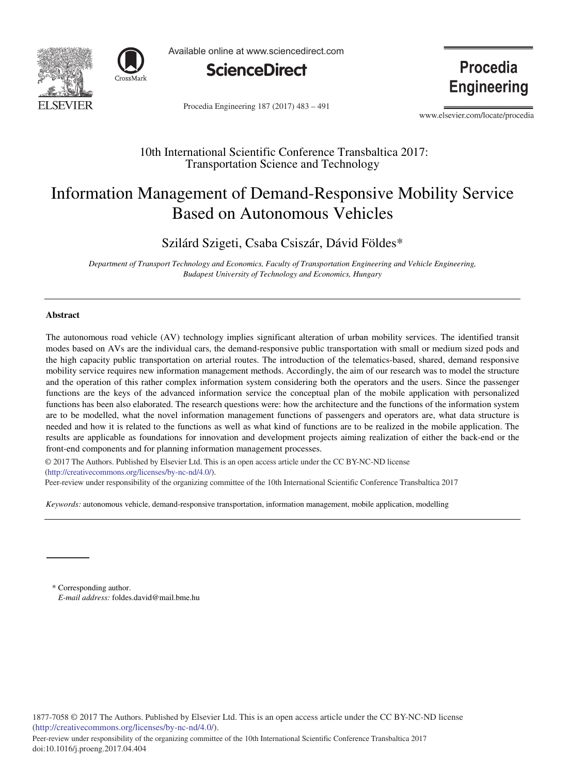



Available online at www.sciencedirect.com



Procedia Engineering 187 (2017) 483 - 491

**Procedia Engineering** 

www.elsevier.com/locate/procedia

 10th International Scientific Conference Transbaltica 2017: Transportation Science and Technology

# Information Management of Demand-Responsive Mobility Service Based on Autonomous Vehicles

Szilárd Szigeti, Csaba Csiszár, Dávid Földes\*

*Department of Transport Technology and Economics, Faculty of Transportation Engineering and Vehicle Engineering, Budapest University of Technology and Economics, Hungary* 

### **Abstract**

The autonomous road vehicle (AV) technology implies significant alteration of urban mobility services. The identified transit modes based on AVs are the individual cars, the demand-responsive public transportation with small or medium sized pods and the high capacity public transportation on arterial routes. The introduction of the telematics-based, shared, demand responsive mobility service requires new information management methods. Accordingly, the aim of our research was to model the structure and the operation of this rather complex information system considering both the operators and the users. Since the passenger functions are the keys of the advanced information service the conceptual plan of the mobile application with personalized functions has been also elaborated. The research questions were: how the architecture and the functions of the information system are to be modelled, what the novel information management functions of passengers and operators are, what data structure is needed and how it is related to the functions as well as what kind of functions are to be realized in the mobile application. The results are applicable as foundations for innovation and development projects aiming realization of either the back-end or the front-end components and for planning information management processes.

© 2017 The Authors. Published by Elsevier Ltd. © 2017 The Authors. Published by Elsevier Ltd. This is an open access article under the CC BY-NC-ND license (http://creativecommons.org/licenses/by-nc-nd/4.0/).

Peer-review under responsibility of the organizing committee of the 10th International Scientific Conference Transbaltica 2017

*Keywords:* autonomous vehicle, demand-responsive transportation, information management, mobile application, modelling

\* Corresponding author. *E-mail address:* foldes.david@mail.bme.hu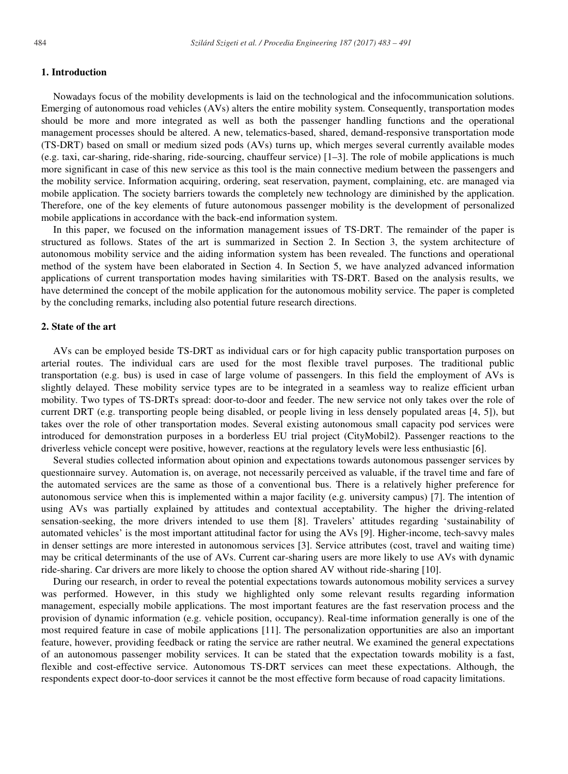#### **1. Introduction**

Nowadays focus of the mobility developments is laid on the technological and the infocommunication solutions. Emerging of autonomous road vehicles (AVs) alters the entire mobility system. Consequently, transportation modes should be more and more integrated as well as both the passenger handling functions and the operational management processes should be altered. A new, telematics-based, shared, demand-responsive transportation mode (TS-DRT) based on small or medium sized pods (AVs) turns up, which merges several currently available modes (e.g. taxi, car-sharing, ride-sharing, ride-sourcing, chauffeur service) [1–3]. The role of mobile applications is much more significant in case of this new service as this tool is the main connective medium between the passengers and the mobility service. Information acquiring, ordering, seat reservation, payment, complaining, etc. are managed via mobile application. The society barriers towards the completely new technology are diminished by the application. Therefore, one of the key elements of future autonomous passenger mobility is the development of personalized mobile applications in accordance with the back-end information system.

In this paper, we focused on the information management issues of TS-DRT. The remainder of the paper is structured as follows. States of the art is summarized in Section 2. In Section 3, the system architecture of autonomous mobility service and the aiding information system has been revealed. The functions and operational method of the system have been elaborated in Section 4. In Section 5, we have analyzed advanced information applications of current transportation modes having similarities with TS-DRT. Based on the analysis results, we have determined the concept of the mobile application for the autonomous mobility service. The paper is completed by the concluding remarks, including also potential future research directions.

#### **2. State of the art**

AVs can be employed beside TS-DRT as individual cars or for high capacity public transportation purposes on arterial routes. The individual cars are used for the most flexible travel purposes. The traditional public transportation (e.g. bus) is used in case of large volume of passengers. In this field the employment of AVs is slightly delayed. These mobility service types are to be integrated in a seamless way to realize efficient urban mobility. Two types of TS-DRTs spread: door-to-door and feeder. The new service not only takes over the role of current DRT (e.g. transporting people being disabled, or people living in less densely populated areas [4, 5]), but takes over the role of other transportation modes. Several existing autonomous small capacity pod services were introduced for demonstration purposes in a borderless EU trial project (CityMobil2). Passenger reactions to the driverless vehicle concept were positive, however, reactions at the regulatory levels were less enthusiastic [6].

Several studies collected information about opinion and expectations towards autonomous passenger services by questionnaire survey. Automation is, on average, not necessarily perceived as valuable, if the travel time and fare of the automated services are the same as those of a conventional bus. There is a relatively higher preference for autonomous service when this is implemented within a major facility (e.g. university campus) [7]. The intention of using AVs was partially explained by attitudes and contextual acceptability. The higher the driving-related sensation-seeking, the more drivers intended to use them [8]. Travelers' attitudes regarding 'sustainability of automated vehicles' is the most important attitudinal factor for using the AVs [9]. Higher-income, tech-savvy males in denser settings are more interested in autonomous services [3]. Service attributes (cost, travel and waiting time) may be critical determinants of the use of AVs. Current car-sharing users are more likely to use AVs with dynamic ride-sharing. Car drivers are more likely to choose the option shared AV without ride-sharing [10].

During our research, in order to reveal the potential expectations towards autonomous mobility services a survey was performed. However, in this study we highlighted only some relevant results regarding information management, especially mobile applications. The most important features are the fast reservation process and the provision of dynamic information (e.g. vehicle position, occupancy). Real-time information generally is one of the most required feature in case of mobile applications [11]. The personalization opportunities are also an important feature, however, providing feedback or rating the service are rather neutral. We examined the general expectations of an autonomous passenger mobility services. It can be stated that the expectation towards mobility is a fast, flexible and cost-effective service. Autonomous TS-DRT services can meet these expectations. Although, the respondents expect door-to-door services it cannot be the most effective form because of road capacity limitations.